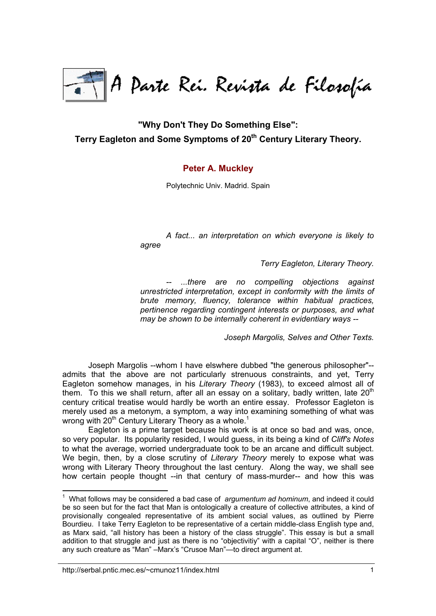

**"Why Don't They Do Something Else":** Terry Eagleton and Some Symptoms of 20<sup>th</sup> Century Literary Theory.

## **[Peter A. Muckley](http://serbal.pntic.mec.es/~cmunoz11/fuks.html#Muckley)**

Polytechnic Univ. Madrid. Spain

*A fact... an interpretation on which everyone is likely to agree*

*Terry Eagleton, Literary Theory.*

*-- ...there are no compelling objections against unrestricted interpretation, except in conformity with the limits of brute memory, fluency, tolerance within habitual practices, pertinence regarding contingent interests or purposes, and what may be shown to be internally coherent in evidentiary ways --*

*Joseph Margolis, Selves and Other Texts.*

Joseph Margolis --whom I have elswhere dubbed "the generous philosopher"- admits that the above are not particularly strenuous constraints, and yet, Terry Eagleton somehow manages, in his *Literary Theory* (1983), to exceed almost all of them. To this we shall return, after all an essay on a solitary, badly written, late  $20<sup>th</sup>$ century critical treatise would hardly be worth an entire essay. Professor Eagleton is merely used as a metonym, a symptom, a way into examining something of what was wrong with  $20<sup>th</sup>$  Century Literary Theory as a whole.<sup>1</sup>

Eagleton is a prime target because his work is at once so bad and was, once, so very popular. Its popularity resided, I would guess, in its being a kind of *Cliff's Notes* to what the average, worried undergraduate took to be an arcane and difficult subject. We begin, then, by a close scrutiny of *Literary Theory* merely to expose what was wrong with Literary Theory throughout the last century. Along the way, we shall see how certain people thought --in that century of mass-murder-- and how this was

<sup>&</sup>lt;sup>1</sup> What follows may be considered a bad case of *argumentum ad hominum*, and indeed it could be so seen but for the fact that Man is ontologically a creature of collective attributes, a kind of provisionally congealed representative of its ambient social values, as outlined by Pierre Bourdieu. I take Terry Eagleton to be representative of a certain middle-class English type and, as Marx said, "all history has been a history of the class struggle". This essay is but a small addition to that struggle and just as there is no "objectivitiy" with a capital "O", neither is there any such creature as "Man" –Marx's "Crusoe Man"—to direct argument at.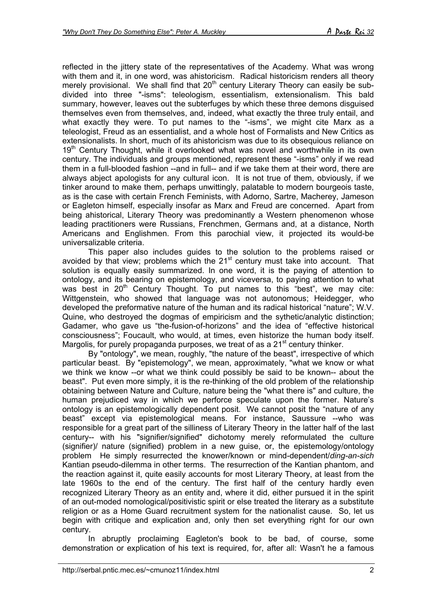reflected in the jittery state of the representatives of the Academy. What was wrong with them and it, in one word, was ahistoricism. Radical historicism renders all theory merely provisional. We shall find that  $20<sup>th</sup>$  century Literary Theory can easily be subdivided into three "-isms": teleologism, essentialism, extensionalism. This bald summary, however, leaves out the subterfuges by which these three demons disguised themselves even from themselves, and, indeed, what exactly the three truly entail, and what exactly they were. To put names to the "-isms", we might cite Marx as a teleologist, Freud as an essentialist, and a whole host of Formalists and New Critics as extensionalists. In short, much of its ahistoricism was due to its obsequious reliance on 19<sup>th</sup> Century Thought, while it overlooked what was novel and worthwhile in its own century. The individuals and groups mentioned, represent these "-isms" only if we read them in a full-blooded fashion --and in full-- and if we take them at their word, there are always abject apologists for any cultural icon. It is not true of them, obviously, if we tinker around to make them, perhaps unwittingly, palatable to modern bourgeois taste, as is the case with certain French Feminists, with Adorno, Sartre, Macherey, Jameson or Eagleton himself, especially insofar as Marx and Freud are concerned. Apart from being ahistorical, Literary Theory was predominantly a Western phenomenon whose leading practitioners were Russians, Frenchmen, Germans and, at a distance, North Americans and Englishmen. From this parochial view, it projected its would-be universalizable criteria.

This paper also includes guides to the solution to the problems raised or avoided by that view; problems which the  $21<sup>st</sup>$  century must take into account. That solution is equally easily summarized. In one word, it is the paying of attention to ontology, and its bearing on epistemology, and viceversa, to paying attention to what was best in  $20<sup>th</sup>$  Century Thought. To put names to this "best", we may cite: Wittgenstein, who showed that language was not autonomous; Heidegger, who developed the preformative nature of the human and its radical historical "nature"; W.V. Quine, who destroyed the dogmas of empiricism and the sythetic/analytic distinction; Gadamer, who gave us "the-fusion-of-horizons" and the idea of "effective historical consciousness"; Foucault, who would, at times, even historize the human body itself. Margolis, for purely propaganda purposes, we treat of as a  $21<sup>st</sup>$  century thinker.

By "ontology", we mean, roughly, "the nature of the beast", irrespective of which particular beast. By "epistemology", we mean, approximately, "what we know or what we think we know --or what we think could possibly be said to be known-- about the beast". Put even more simply, it is the re-thinking of the old problem of the relationship obtaining between Nature and Culture, nature being the "what there is" and culture, the human prejudiced way in which we perforce speculate upon the former. Nature's ontology is an epistemologically dependent posit. We cannot posit the "nature of any beast" except via epistemological means. For instance, Saussure --who was responsible for a great part of the silliness of Literary Theory in the latter half of the last century-- with his "signifier/signified" dichotomy merely reformulated the culture (signifier)/ nature (signified) problem in a new guise, or, the epistemology/ontology problem He simply resurrected the knower/known or mind-dependent/*ding-an-sich* Kantian pseudo-dilemma in other terms. The resurrection of the Kantian phantom, and the reaction against it, quite easily accounts for most Literary Theory, at least from the late 1960s to the end of the century. The first half of the century hardly even recognized Literary Theory as an entity and, where it did, either pursued it in the spirit of an out-moded nomological/positivistic spirit or else treated the literary as a substitute religion or as a Home Guard recruitment system for the nationalist cause. So, let us begin with critique and explication and, only then set everything right for our own century.

In abruptly proclaiming Eagleton's book to be bad, of course, some demonstration or explication of his text is required, for, after all: Wasn't he a famous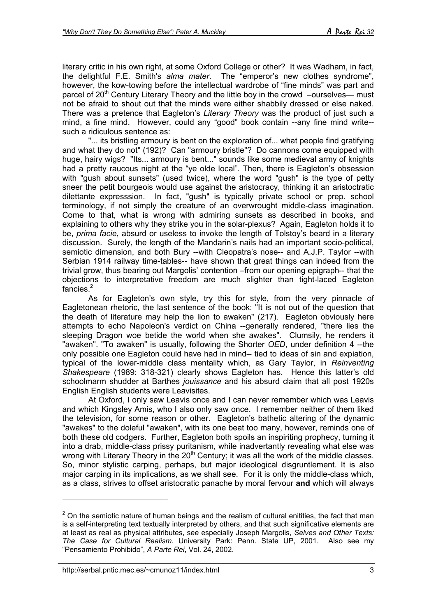literary critic in his own right, at some Oxford College or other? It was Wadham, in fact, the delightful F.E. Smith's *alma mater*. The "emperor's new clothes syndrome", however, the kow-towing before the intellectual wardrobe of "fine minds" was part and parcel of 20<sup>th</sup> Century Literary Theory and the little boy in the crowd  $-\text{ourselves}$ —must not be afraid to shout out that the minds were either shabbily dressed or else naked. There was a pretence that Eagleton's *Literary Theory* was the product of just such a mind, a fine mind. However, could any "good" book contain --any fine mind write- such a ridiculous sentence as:

"... its bristling armoury is bent on the exploration of... what people find gratifying and what they do not" (192)? Can "armoury bristle"? Do cannons come equipped with huge, hairy wigs? "Its... armoury is bent..." sounds like some medieval army of knights had a pretty raucous night at the "ye olde local". Then, there is Eagleton's obsession with "gush about sunsets" (used twice), where the word "gush" is the type of petty sneer the petit bourgeois would use against the aristocracy, thinking it an aristoctratic dilettante expresssion. In fact, "gush" is typically private school or prep. school terminology, if not simply the creature of an overwrought middle-class imagination. Come to that, what is wrong with admiring sunsets as described in books, and explaining to others why they strike you in the solar-plexus? Again, Eagleton holds it to be, *prima facie*, absurd or useless to invoke the length of Tolstoy's beard in a literary discussion. Surely, the length of the Mandarin's nails had an important socio-political, semiotic dimension, and both Bury --with Cleopatra's nose-- and A.J.P. Taylor --with Serbian 1914 railway time-tables-- have shown that great things can indeed from the trivial grow, thus bearing out Margolis' contention –from our opening epigraph-- that the objections to interpretative freedom are much slighter than tight-laced Eagleton fancies.<sup>2</sup>

As for Eagleton's own style, try this for style, from the very pinnacle of Eagletonean rhetoric, the last sentence of the book: "It is not out of the question that the death of literature may help the lion to awaken" (217). Eagleton obviously here attempts to echo Napoleon's verdict on China --generally rendered, "there lies the sleeping Dragon woe betide the world when she awakes". Clumsily, he renders it "awaken". "To awaken" is usually, following the Shorter *OED*, under definition 4 --the only possible one Eagleton could have had in mind-- tied to ideas of sin and expiation, typical of the lower-middle class mentality which, as Gary Taylor, in *Reinventing Shakespeare* (1989: 318-321) clearly shows Eagleton has. Hence this latter's old schoolmarm shudder at Barthes *jouissance* and his absurd claim that all post 1920s English English students were Leavisites.

At Oxford, I only saw Leavis once and I can never remember which was Leavis and which Kingsley Amis, who I also only saw once. I remember neither of them liked the television, for some reason or other. Eagleton's bathetic altering of the dynamic "awakes" to the doleful "awaken", with its one beat too many, however, reminds one of both these old codgers. Further, Eagleton both spoils an inspiriting prophecy, turning it into a drab, middle-class prissy puritanism, while inadvertantly revealing what else was wrong with Literary Theory in the 20<sup>th</sup> Century; it was all the work of the middle classes. So, minor stylistic carping, perhaps, but major ideological disgruntlement. It is also major carping in its implications, as we shall see. For it is only the middle-class which, as a class, strives to offset aristocratic panache by moral fervour **and** which will always

 $2$  On the semiotic nature of human beings and the realism of cultural enitities, the fact that man is a self-interpreting text textually interpreted by others, and that such significative elements are at least as real as physical attributes, see especially Joseph Margolis, *Selves and Other Texts: The Case for Cultural Realism*. University Park: Penn. State UP, 2001. Also see my "Pensamiento Prohibido", *A Parte Rei*, Vol. 24, 2002.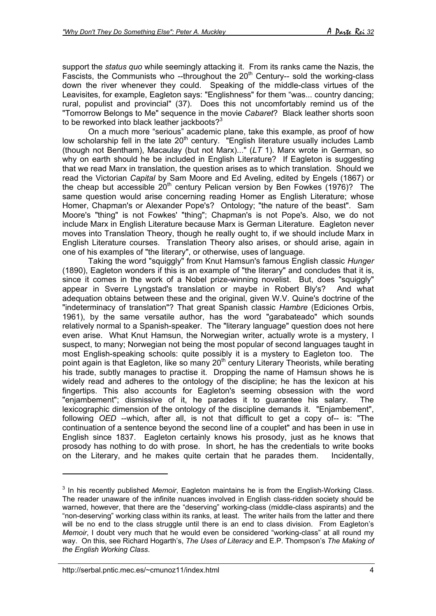support the *status quo* while seemingly attacking it. From its ranks came the Nazis, the Fascists, the Communists who --throughout the  $20<sup>th</sup>$  Century-- sold the working-class down the river whenever they could. Speaking of the middle-class virtues of the Leavisites, for example, Eagleton says: "Englishness" for them "was... country dancing; rural, populist and provincial" (37). Does this not uncomfortably remind us of the "Tomorrow Belongs to Me" sequence in the movie *Cabaret*? Black leather shorts soon to be reworked into black leather jackboots?<sup>3</sup>

On a much more "serious" academic plane, take this example, as proof of how low scholarship fell in the late  $20<sup>th</sup>$  century. "English literature usually includes Lamb (though not Bentham), Macaulay (but not Marx)..." (*LT* 1). Marx wrote in German, so why on earth should he be included in English Literature? If Eagleton is suggesting that we read Marx in translation, the question arises as to which translation. Should we read the Victorian *Capital* by Sam Moore and Ed Aveling, edited by Engels (1867) or the cheap but accessible  $20<sup>th</sup>$  century Pelican version by Ben Fowkes (1976)? The same question would arise concerning reading Homer as English Literature; whose Homer, Chapman's or Alexander Pope's? Ontology; "the nature of the beast". Sam Moore's "thing" is not Fowkes' "thing"; Chapman's is not Pope's. Also, we do not include Marx in English Literature because Marx is German Literature. Eagleton never moves into Translation Theory, though he really ought to, if we should include Marx in English Literature courses. Translation Theory also arises, or should arise, again in one of his examples of "the literary", or otherwise, uses of language.

Taking the word "squiggly" from Knut Hamsun's famous English classic *Hunger* (1890), Eagleton wonders if this is an example of "the literary" and concludes that it is, since it comes in the work of a Nobel prize-winning novelist. But, does "squiggly" appear in Sverre Lyngstad's translation or maybe in Robert Bly's? And what adequation obtains between these and the original, given W.V. Quine's doctrine of the "indeterminacy of translation"? That great Spanish classic *Hambre* (Ediciones Orbis, 1961), by the same versatile author, has the word "garabateado" which sounds relatively normal to a Spanish-speaker. The "literary language" question does not here even arise. What Knut Hamsun, the Norwegian writer, actually wrote is a mystery, I suspect, to many; Norwegian not being the most popular of second languages taught in most English-speaking schools: quite possibly it is a mystery to Eagleton too. The point again is that Eagleton, like so many 20<sup>th</sup> century Literary Theorists, while berating his trade, subtly manages to practise it. Dropping the name of Hamsun shows he is widely read and adheres to the ontology of the discipline; he has the lexicon at his fingertips. This also accounts for Eagleton's seeming obsession with the word "enjambement"; dismissive of it, he parades it to guarantee his salary. The lexicographic dimension of the ontology of the discipline demands it. "Enjambement", following *OED* --which, after all, is not that difficult to get a copy of-- is: "The continuation of a sentence beyond the second line of a couplet" and has been in use in English since 1837. Eagleton certainly knows his prosody, just as he knows that prosody has nothing to do with prose. In short, he has the credentials to write books on the Literary, and he makes quite certain that he parades them. Incidentally,

<sup>3</sup> In his recently published *Memoir*, Eagleton maintains he is from the English-Working Class. The reader unaware of the infinite nuances involved in English class-ridden society should be warned, however, that there are the "deserving" working-class (middle-class aspirants) and the "non-deserving" working class within its ranks, at least. The writer hails from the latter and there will be no end to the class struggle until there is an end to class division. From Eagleton's *Memoir*, I doubt very much that he would even be considered "working-class" at all round my way. On this, see Richard Hogarth's, *The Uses of Literacy* and E.P. Thompson's *The Making of the English Working Class*.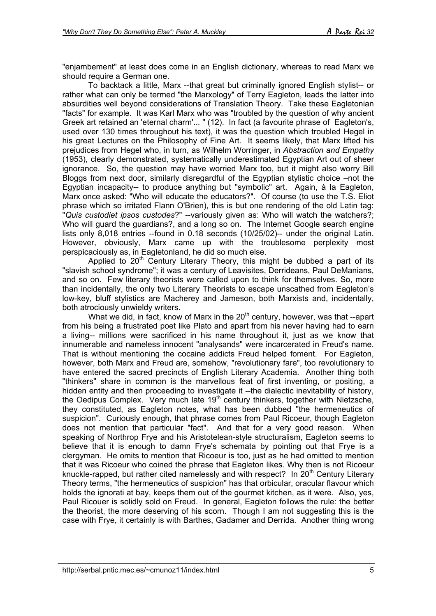"enjambement" at least does come in an English dictionary, whereas to read Marx we should require a German one.

To backtack a little, Marx --that great but criminally ignored English stylist-- or rather what can only be termed "the Marxology" of Terry Eagleton, leads the latter into absurdities well beyond considerations of Translation Theory. Take these Eagletonian "facts" for example. It was Karl Marx who was "troubled by the question of why ancient Greek art retained an 'eternal charm'... " (12). In fact (a favourite phrase of Eagleton's, used over 130 times throughout his text), it was the question which troubled Hegel in his great Lectures on the Philosophy of Fine Art. It seems likely, that Marx lifted his prejudices from Hegel who, in turn, as Wilhelm Worringer, in *Abstraction and Empathy* (1953), clearly demonstrated, systematically underestimated Egyptian Art out of sheer ignorance. So, the question may have worried Marx too, but it might also worry Bill Bloggs from next door, similarly disregardful of the Egyptian stylistic choice –not the Egyptian incapacity-- to produce anything but "symbolic" art. Again, à la Eagleton, Marx once asked: "Who will educate the educators?". Of course (to use the T.S. Eliot phrase which so irritated Flann O'Brien), this is but one rendering of the old Latin tag: "*Quis custodiet ipsos custodes*?" --variously given as: Who will watch the watchers?; Who will guard the guardians?, and a long so on. The Internet Google search engine lists only 8,018 entries --found in 0.18 seconds (10/25/02)-- under the original Latin. However, obviously, Marx came up with the troublesome perplexity most perspicaciously as, in Eagletonland, he did so much else.

Applied to  $20<sup>th</sup>$  Century Literary Theory, this might be dubbed a part of its "slavish school syndrome"; it was a century of Leavisites, Derrideans, Paul DeManians, and so on. Few literary theorists were called upon to think for themselves. So, more than incidentally, the only two Literary Theorists to escape unscathed from Eagleton's low-key, bluff stylistics are Macherey and Jameson, both Marxists and, incidentally, both atrociously unwieldy writers.

What we did, in fact, know of Marx in the  $20<sup>th</sup>$  century, however, was that --apart from his being a frustrated poet like Plato and apart from his never having had to earn a living-- millions were sacrificed in his name throughout it, just as we know that innumerable and nameless innocent "analysands" were incarcerated in Freud's name. That is without mentioning the cocaine addicts Freud helped foment. For Eagleton, however, both Marx and Freud are, somehow, "revolutionary fare", too revolutionary to have entered the sacred precincts of English Literary Academia. Another thing both "thinkers" share in common is the marvellous feat of first inventing, or positing, a hidden entity and then proceeding to investigate it --the dialectic inevitability of history, the Oedipus Complex. Very much late 19<sup>th</sup> century thinkers, together with Nietzsche, they constituted, as Eagleton notes, what has been dubbed "the hermeneutics of suspicion". Curiously enough, that phrase comes from Paul Ricoeur, though Eagleton does not mention that particular "fact". And that for a very good reason. When speaking of Northrop Frye and his Aristotelean-style structuralism, Eagleton seems to believe that it is enough to damn Frye's schemata by pointing out that Frye is a clergyman. He omits to mention that Ricoeur is too, just as he had omitted to mention that it was Ricoeur who coined the phrase that Eagleton likes. Why then is not Ricoeur knuckle-rapped, but rather cited namelessly and with respect? In 20<sup>th</sup> Century Literary Theory terms, "the hermeneutics of suspicion" has that orbicular, oracular flavour which holds the ignorati at bay, keeps them out of the gourmet kitchen, as it were. Also, yes, Paul Ricouer is solidly sold on Freud. In general, Eagleton follows the rule: the better the theorist, the more deserving of his scorn. Though I am not suggesting this is the case with Frye, it certainly is with Barthes, Gadamer and Derrida. Another thing wrong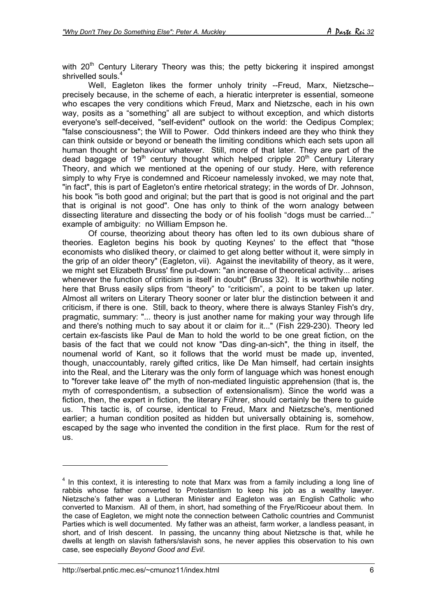with 20<sup>th</sup> Century Literary Theory was this; the petty bickering it inspired amongst shrivelled souls.

Well, Eagleton likes the former unholy trinity --Freud, Marx, Nietzsche-precisely because, in the scheme of each, a hieratic interpreter is essential, someone who escapes the very conditions which Freud, Marx and Nietzsche, each in his own way, posits as a "something" all are subject to without exception, and which distorts everyone's self-deceived, "self-evident" outlook on the world: the Oedipus Complex; "false consciousness"; the Will to Power. Odd thinkers indeed are they who think they can think outside or beyond or beneath the limiting conditions which each sets upon all human thought or behaviour whatever. Still, more of that later. They are part of the dead baggage of  $19<sup>th</sup>$  century thought which helped cripple  $20<sup>th</sup>$  Century Literary Theory, and which we mentioned at the opening of our study. Here, with reference simply to why Frye is condemned and Ricoeur namelessly invoked, we may note that, "in fact", this is part of Eagleton's entire rhetorical strategy; in the words of Dr. Johnson, his book "is both good and original; but the part that is good is not original and the part that is original is not good". One has only to think of the worn analogy between dissecting literature and dissecting the body or of his foolish "dogs must be carried..." example of ambiguity: no William Empson he.

Of course, theorizing about theory has often led to its own dubious share of theories. Eagleton begins his book by quoting Keynes' to the effect that "those economists who disliked theory, or claimed to get along better without it, were simply in the grip of an older theory" (Eagleton, vii). Against the inevitability of theory, as it were, we might set Elizabeth Bruss' fine put-down: "an increase of theoretical activity... arises whenever the function of criticism is itself in doubt" (Bruss 32). It is worthwhile noting here that Bruss easily slips from "theory" to "criticism", a point to be taken up later. Almost all writers on Literary Theory sooner or later blur the distinction between it and criticism, if there is one. Still, back to theory, where there is always Stanley Fish's dry, pragmatic, summary: "... theory is just another name for making your way through life and there's nothing much to say about it or claim for it..." (Fish 229-230). Theory led certain ex-fascists like Paul de Man to hold the world to be one great fiction, on the basis of the fact that we could not know "Das ding-an-sich", the thing in itself, the noumenal world of Kant, so it follows that the world must be made up, invented, though, unaccountably, rarely gifted critics, like De Man himself, had certain insights into the Real, and the Literary was the only form of language which was honest enough to "forever take leave of" the myth of non-mediated linguistic apprehension (that is, the myth of correspondentism, a subsection of extensionalism). Since the world was a fiction, then, the expert in fiction, the literary Führer, should certainly be there to guide us. This tactic is, of course, identical to Freud, Marx and Nietzsche's, mentioned earlier; a human condition posited as hidden but universally obtaining is, somehow, escaped by the sage who invented the condition in the first place. Rum for the rest of us.

 $<sup>4</sup>$  In this context, it is interesting to note that Marx was from a family including a long line of</sup> rabbis whose father converted to Protestantism to keep his job as a wealthy lawyer. Nietzsche's father was a Lutheran Minister and Eagleton was an English Catholic who converted to Marxism. All of them, in short, had something of the Frye/Ricoeur about them. In the case of Eagleton, we might note the connection between Catholic countries and Communist Parties which is well documented. My father was an atheist, farm worker, a landless peasant, in short, and of Irish descent. In passing, the uncanny thing about Nietzsche is that, while he dwells at length on slavish fathers/slavish sons, he never applies this observation to his own case, see especially *Beyond Good and Evil*.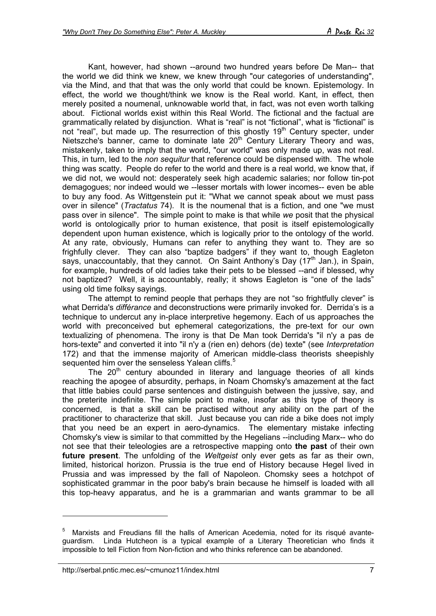Kant, however, had shown --around two hundred years before De Man-- that the world we did think we knew, we knew through "our categories of understanding", via the Mind, and that that was the only world that could be known. Epistemology. In effect, the world we thought/think we know is the Real world. Kant, in effect, then merely posited a noumenal, unknowable world that, in fact, was not even worth talking about. Fictional worlds exist within this Real World. The fictional and the factual are grammatically related by disjunction. What is "real" is not "fictional", what is "fictional" is not "real", but made up. The resurrection of this ghostly 19<sup>th</sup> Century specter, under Nietszche's banner, came to dominate late  $20<sup>th</sup>$  Century Literary Theory and was, mistakenly, taken to imply that the world, "our world" was only made up, was not real. This, in turn, led to the *non sequitur* that reference could be dispensed with. The whole thing was scatty. People do refer to the world and there is a real world, we know that, if we did not, we would not: desperately seek high academic salaries; nor follow tin-pot demagogues; nor indeed would we --lesser mortals with lower incomes-- even be able to buy any food. As Wittgenstein put it: "What we cannot speak about we must pass over in silence" (*Tractatus* 74). It is the noumenal that is a fiction, and one "we must pass over in silence". The simple point to make is that while *we* posit that the physical world is ontologically prior to human existence, that posit is itself epistemologically dependent upon human existence, which is logically prior to the ontology of the world. At any rate, obviously, Humans can refer to anything they want to. They are so frighfully clever. They can also "baptize badgers" if they want to, though Eagleton says, unaccountably, that they cannot. On Saint Anthony's Day (17<sup>th</sup> Jan.), in Spain, for example, hundreds of old ladies take their pets to be blessed --and if blessed, why not baptized? Well, it is accountably, really; it shows Eagleton is "one of the lads" using old time folksy sayings.

The attempt to remind people that perhaps they are not "so frightfully clever" is what Derrida's *différance* and deconstructions were primarily invoked for. Derrida's is a technique to undercut any in-place interpretive hegemony. Each of us approaches the world with preconceived but ephemeral categorizations, the pre-text for our own textualizing of phenomena. The irony is that De Man took Derrida's "il n'y a pas de hors-texte" and converted it into "il n'y a (rien en) dehors (de) texte" (see *Interpretation* 172) and that the immense majority of American middle-class theorists sheepishly sequented him over the senseless Yalean cliffs.<sup>5</sup>

The  $20<sup>th</sup>$  century abounded in literary and language theories of all kinds reaching the apogee of absurdity, perhaps, in Noam Chomsky's amazement at the fact that little babies could parse sentences and distinguish between the jussive, say, and the preterite indefinite. The simple point to make, insofar as this type of theory is concerned, is that a skill can be practised without any ability on the part of the practitioner to characterize that skill. Just because you can ride a bike does not imply that you need be an expert in aero-dynamics. The elementary mistake infecting Chomsky's view is similar to that committed by the Hegelians --including Marx-- who do not see that their teleologies are a retrospective mapping onto **the past** of their own **future present**. The unfolding of the *Weltgeist* only ever gets as far as their own, limited, historical horizon. Prussia is the true end of History because Hegel lived in Prussia and was impressed by the fall of Napoleon. Chomsky sees a hotchpot of sophisticated grammar in the poor baby's brain because he himself is loaded with all this top-heavy apparatus, and he is a grammarian and wants grammar to be all

<sup>5</sup> Marxists and Freudians fill the halls of American Acedemia, noted for its risqué avanteguardism. Linda Hutcheon is a typical example of a Literary Theoretician who finds it impossible to tell Fiction from Non-fiction and who thinks reference can be abandoned.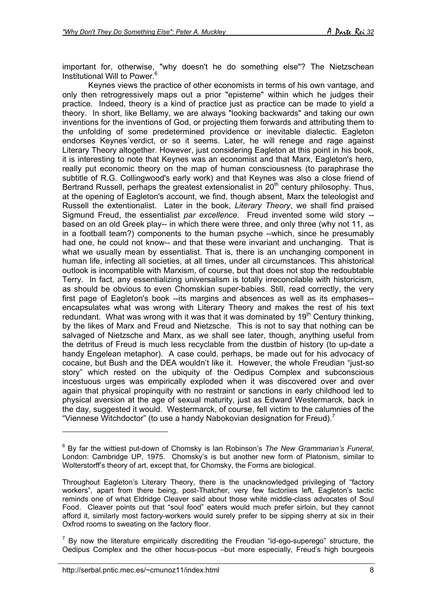important for, otherwise, "why doesn't he do something else"? The Nietzschean Institutional Will to Power.<sup>6</sup>

Keynes views the practice of other economists in terms of his own vantage, and only then retrogressively maps out a prior "episteme" within which he judges their practice. Indeed, theory is a kind of practice just as practice can be made to yield a theory. In short, like Bellamy, we are always "looking backwards" and taking our own inventions for the inventions of God, or projecting them forwards and attributing them to the unfolding of some predetermined providence or inevitable dialectic. Eagleton endorses Keynes´verdict, or so it seems. Later, he will renege and rage against Literary Theory altogether. However, just considering Eagleton at this point in his book, it is interesting to note that Keynes was an economist and that Marx, Eagleton's hero, really put economic theory on the map of human consciousness (to paraphrase the subtitle of R.G. Collingwood's early work) and that Keynes was also a close friend of Bertrand Russell, perhaps the greatest extensionalist in  $20<sup>th</sup>$  century philosophy. Thus, at the opening of Eagleton's account, we find, though absent, Marx the teleologist and Russell the extentionalist. Later in the book, *Literary Theory*, we shall find praised Sigmund Freud, the essentialist *par excellence*. Freud invented some wild story - based on an old Greek play-- in which there were three, and only three (why not 11, as in a football team?) components to the human psyche --which, since he presumably had one, he could not know-- and that these were invariant and unchanging. That is what we usually mean by essentialist. That is, there is an unchanging component in human life, infecting all societies, at all times, under all circumstances. This ahistorical outlook is incompatible with Marxism, of course, but that does not stop the redoubtable Terry. In fact, any essentializing universalism is totally irreconcilable with historicism, as should be obvious to even Chomskian super-babies. Still, read correctly, the very first page of Eagleton's book --its margins and absences as well as its emphases- encapsulates what was wrong with Literary Theory and makes the rest of his text redundant. What was wrong with it was that it was dominated by 19<sup>th</sup> Century thinking, by the likes of Marx and Freud and Nietzsche. This is not to say that nothing can be salvaged of Nietzsche and Marx, as we shall see later, though, anything useful from the detritus of Freud is much less recyclable from the dustbin of history (to up-date a handy Engelean metaphor). A case could, perhaps, be made out for his advocacy of cocaine, but Bush and the DEA wouldn't like it. However, the whole Freudian "just-so story" which rested on the ubiquity of the Oedipus Complex and subconscious incestuous urges was empirically exploded when it was discovered over and over again that physical propinquity with no restraint or sanctions in early childhood led to physical aversion at the age of sexual maturity, just as Edward Westermarck, back in the day, suggested it would. Westermarck, of course, fell victim to the calumnies of the "Viennese Witchdoctor" (to use a handy Nabokovian designation for Freud).<sup>7</sup>

<sup>6</sup> By far the wittiest put-down of Chomsky is Ian Robinson's *The New Grammarian's Funeral*, London: Cambridge UP, 1975. Chomsky's is but another new form of Platonism, similar to Wolterstorff's theory of art, except that, for Chomsky, the Forms are biological.

Throughout Eagleton's Literary Theory, there is the unacknowledged privileging of "factory workers", apart from there being, post-Thatcher, very few factoriies left, Eagleton's tactic reminds one of what Eldridge Cleaver said about those white middle-class advocates of Soul Food. Cleaver points out that "soul food" eaters would much prefer sirloin, but they cannot afford it, similarly most factory-workers would surely prefer to be sipping sherry at six in their Oxfrod rooms to sweating on the factory floor.

 $7$  By now the literature empirically discrediting the Freudian "id-ego-superego" structure, the Oedipus Complex and the other hocus-pocus –but more especially, Freud's high bourgeois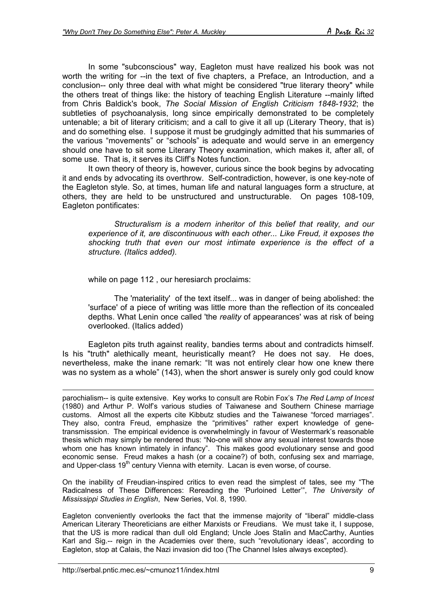In some "subconscious" way, Eagleton must have realized his book was not worth the writing for --in the text of five chapters, a Preface, an Introduction, and a conclusion-- only three deal with what might be considered "true literary theory" while the others treat of things like: the history of teaching English Literature --mainly lifted from Chris Baldick's book, *The Social Mission of English Criticism 1848-1932*; the subtleties of psychoanalysis, long since empirically demonstrated to be completely untenable; a bit of literary criticism; and a call to give it all up (Literary Theory, that is) and do something else. I suppose it must be grudgingly admitted that his summaries of the various "movements" or "schools" is adequate and would serve in an emergency should one have to sit some Literary Theory examination, which makes it, after all, of some use. That is, it serves its Cliff's Notes function.

It own theory of theory is, however, curious since the book begins by advocating it and ends by advocating its overthrow. Self-contradiction, however, is one key-note of the Eagleton style. So, at times, human life and natural languages form a structure, at others, they are held to be unstructured and unstructurable. On pages 108-109, Eagleton pontificates:

*Structuralism is a modern inheritor of this belief that reality, and our experience of it, are discontinuous with each other... Like Freud, it exposes the shocking truth that even our most intimate experience is the effect of a structure. (Italics added).*

while on page 112 , our heresiarch proclaims:

The 'materiality' of the text itself... was in danger of being abolished: the 'surface' of a piece of writing was little more than the reflection of its concealed depths. What Lenin once called 'the *reality* of appearances' was at risk of being overlooked. (Italics added)

Eagleton pits truth against reality, bandies terms about and contradicts himself. Is his "truth" alethically meant, heuristically meant? He does not say. He does, nevertheless, make the inane remark: "It was not entirely clear how one knew there was no system as a whole" (143), when the short answer is surely only god could know

1 parochialism-- is quite extensive. Key works to consult are Robin Fox's *The Red Lamp of Incest* (1980) and Arthur P. Wolf's various studies of Taiwanese and Southern Chinese marriage customs. Almost all the experts cite Kibbutz studies and the Taiwanese "forced marriages". They also, contra Freud, emphasize the "primitives" rather expert knowledge of genetransmisssion. The empirical evidence is overwhelmingly in favour of Westermark's reasonable thesis which may simply be rendered thus: "No-one will show any sexual interest towards those whom one has known intimately in infancy". This makes good evolutionary sense and good economic sense. Freud makes a hash (or a cocaine?) of both, confusing sex and marriage, and Upper-class 19<sup>th</sup> century Vienna with eternity. Lacan is even worse, of course.

On the inability of Freudian-inspired critics to even read the simplest of tales, see my "The Radicalness of These Differences: Rereading the 'Purloined Letter'", *The University of Mississippi Studies in English*, New Series, Vol. 8, 1990.

Eagleton conveniently overlooks the fact that the immense majority of "liberal" middle-class American Literary Theoreticians are either Marxists or Freudians. We must take it, I suppose, that the US is more radical than dull old England; Uncle Joes Stalin and MacCarthy, Aunties Karl and Sig.-- reign in the Academies over there, such "revolutionary ideas", according to Eagleton, stop at Calais, the Nazi invasion did too (The Channel Isles always excepted).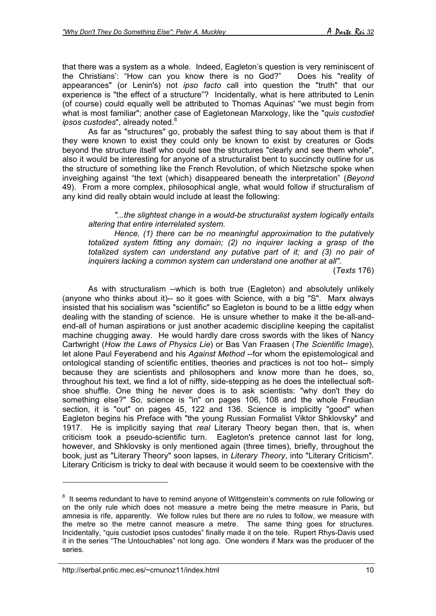that there was a system as a whole. Indeed, Eagleton's question is very reminiscent of the Christians': "How can you know there is no God?" Does his "reality of appearances" (or Lenin's) not *ipso facto* call into question the "truth" that our experience is "the effect of a structure"? Incidentally, what is here attributed to Lenin (of course) could equally well be attributed to Thomas Aquinas' "we must begin from what is most familiar"; another case of Eagletonean Marxology, like the "*quis custodiet* ipsos custodes", already noted.<sup>8</sup>

As far as "structures" go, probably the safest thing to say about them is that if they were known to exist they could only be known to exist by creatures or Gods beyond the structure itself who could see the structures "clearly and see them whole", also it would be interesting for anyone of a structuralist bent to succinctly outline for us the structure of something like the French Revolution, of which Nietzsche spoke when inveighing against "the text (which) disappeared beneath the interpretation" (*Beyond* 49). From a more complex, philosophical angle, what would follow if structuralism of any kind did really obtain would include at least the following:

*"...the slightest change in a would-be structuralist system logically entails altering that entire interrelated system.*

*Hence, (1) there can be no meaningful approximation to the putatively totalized system fitting any domain; (2) no inquirer lacking a grasp of the totalized system can understand any putative part of it; and (3) no pair of inquirers lacking a common system can understand one another at all".*

(*Texts* 176)

As with structuralism --which is both true (Eagleton) and absolutely unlikely (anyone who thinks about it)-- so it goes with Science, with a big "S". Marx always insisted that his socialism was "scientific" so Eagleton is bound to be a little edgy when dealing with the standing of science. He is unsure whether to make it the be-all-andend-all of human aspirations or just another academic discipline keeping the capitalist machine chugging away. He would hardly dare cross swords with the likes of Nancy Cartwright (*How the Laws of Physics Lie*) or Bas Van Fraasen (*The Scientific Image*), let alone Paul Feyerabend and his *Against Method* --for whom the epistemological and ontological standing of scientific entities, theories and practices is not too hot-- simply because they are scientists and philosophers and know more than he does, so, throughout his text, we find a lot of niffty, side-stepping as he does the intellectual softshoe shuffle. One thing he never does is to ask scientists: "why don't they do something else?" So, science is "in" on pages 106, 108 and the whole Freudian section, it is "out" on pages 45, 122 and 136. Science is implicitly "good" when Eagleton begins his Preface with "the young Russian Formalist Viktor Shklovsky" and 1917. He is implicitly saying that *real* Literary Theory began then, that is, when criticism took a pseudo-scientific turn. Eagleton's pretence cannot last for long, however, and Shklovsky is only mentioned again (three times), briefly, throughout the book, just as "Literary Theory" soon lapses, in *Literary Theory*, into "Literary Criticism". Literary Criticism is tricky to deal with because it would seem to be coextensive with the

<sup>&</sup>lt;sup>8</sup> It seems redundant to have to remind anyone of Wittgenstein's comments on rule following or on the only rule which does not measure a metre being the metre measure in Paris, but amnesia is rife, apparently. We follow rules but there are no rules to follow, we measure with the metre so the metre cannot measure a metre. The same thing goes for structures. Incidentally, "quis custodiet ipsos custodes" finally made it on the tele. Rupert Rhys-Davis used it in the series "The Untouchables" not long ago. One wonders if Marx was the producer of the series.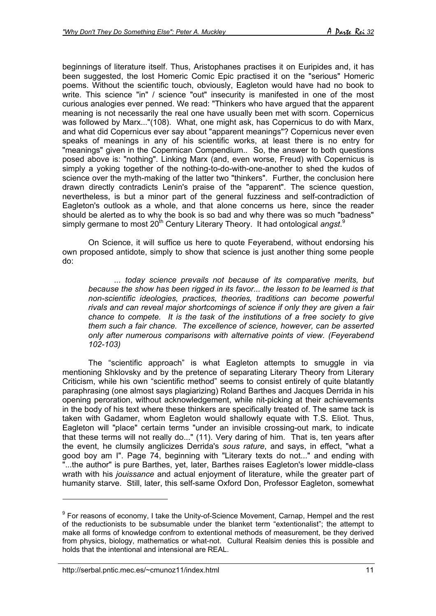beginnings of literature itself. Thus, Aristophanes practises it on Euripides and, it has been suggested, the lost Homeric Comic Epic practised it on the "serious" Homeric poems. Without the scientific touch, obviously, Eagleton would have had no book to write. This science "in" / science "out" insecurity is manifested in one of the most curious analogies ever penned. We read: "Thinkers who have argued that the apparent meaning is not necessarily the real one have usually been met with scorn. Copernicus was followed by Marx..."(108). What, one might ask, has Copernicus to do with Marx, and what did Copernicus ever say about "apparent meanings"? Copernicus never even speaks of meanings in any of his scientific works, at least there is no entry for "meanings" given in the Copernican Compendium.. So, the answer to both questions posed above is: "nothing". Linking Marx (and, even worse, Freud) with Copernicus is simply a yoking together of the nothing-to-do-with-one-another to shed the kudos of science over the myth-making of the latter two "thinkers". Further, the conclusion here drawn directly contradicts Lenin's praise of the "apparent". The science question, nevertheless, is but a minor part of the general fuzziness and self-contradiction of Eagleton's outlook as a whole, and that alone concerns us here, since the reader should be alerted as to why the book is so bad and why there was so much "badness" simply germane to most 20<sup>th</sup> Century Literary Theory. It had ontological angst.<sup>9</sup>

On Science, it will suffice us here to quote Feyerabend, without endorsing his own proposed antidote, simply to show that science is just another thing some people do:

*... today science prevails not because of its comparative merits, but because the show has been rigged in its favor... the lesson to be learned is that non-scientific ideologies, practices, theories, traditions can become powerful rivals and can reveal major shortcomings of science if only they are given a fair chance to compete. It is the task of the institutions of a free society to give them such a fair chance. The excellence of science, however, can be asserted only after numerous comparisons with alternative points of view. (Feyerabend 102-103)*

The "scientific approach" is what Eagleton attempts to smuggle in via mentioning Shklovsky and by the pretence of separating Literary Theory from Literary Criticism, while his own "scientific method" seems to consist entirely of quite blatantly paraphrasing (one almost says plagiarizing) Roland Barthes and Jacques Derrida in his opening peroration, without acknowledgement, while nit-picking at their achievements in the body of his text where these thinkers are specifically treated of. The same tack is taken with Gadamer, whom Eagleton would shallowly equate with T.S. Eliot. Thus, Eagleton will "place" certain terms "under an invisible crossing-out mark, to indicate that these terms will not really do..." (11). Very daring of him. That is, ten years after the event, he clumsily anglicizes Derrida's *sous rature*, and says, in effect, "what a good boy am I". Page 74, beginning with "Literary texts do not..." and ending with "...the author" is pure Barthes, yet, later, Barthes raises Eagleton's lower middle-class wrath with his *jouissance* and actual enjoyment of literature, while the greater part of humanity starve. Still, later, this self-same Oxford Don, Professor Eagleton, somewhat

<sup>&</sup>lt;sup>9</sup> For reasons of economy, I take the Unity-of-Science Movement, Carnap, Hempel and the rest of the reductionists to be subsumable under the blanket term "extentionalist"; the attempt to make all forms of knowledge confrom to extentional methods of measurement, be they derived from physics, biology, mathematics or what-not. Cultural Realsim denies this is possible and holds that the intentional and intensional are REAL.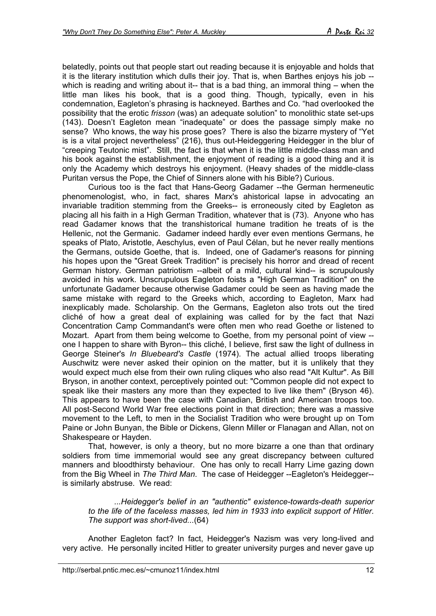belatedly, points out that people start out reading because it is enjoyable and holds that it is the literary institution which dulls their joy. That is, when Barthes enjoys his job - which is reading and writing about it-- that is a bad thing, an immoral thing – when the little man likes his book, that is a good thing. Though, typically, even in his condemnation, Eagleton's phrasing is hackneyed. Barthes and Co. "had overlooked the possibility that the erotic *frisson* (was) an adequate solution" to monolithic state set-ups (143). Doesn't Eagleton mean "inadequate" or does the passage simply make no sense? Who knows, the way his prose goes? There is also the bizarre mystery of "Yet is is a vital project nevertheless" (216), thus out-Heideggering Heidegger in the blur of "creeping Teutonic mist". Still, the fact is that when it is the little middle-class man and his book against the establishment, the enjoyment of reading is a good thing and it is only the Academy which destroys his enjoyment. (Heavy shades of the middle-class Puritan versus the Pope, the Chief of Sinners alone with his Bible?) Curious.

Curious too is the fact that Hans-Georg Gadamer --the German hermeneutic phenomenologist, who, in fact, shares Marx's ahistorical lapse in advocating an invariable tradition stemming from the Greeks-- is erroneously cited by Eagleton as placing all his faith in a High German Tradition, whatever that is (73). Anyone who has read Gadamer knows that the transhistorical humane tradition he treats of is the Hellenic, not the Germanic. Gadamer indeed hardly ever even mentions Germans, he speaks of Plato, Aristotle, Aeschylus, even of Paul Célan, but he never really mentions the Germans, outside Goethe, that is. Indeed, one of Gadamer's reasons for pinning his hopes upon the "Great Greek Tradition" is precisely his horror and dread of recent German history. German patriotism --albeit of a mild, cultural kind-- is scrupulously avoided in his work. Unscrupulous Eagleton foists a "High German Tradition" on the unfortunate Gadamer because otherwise Gadamer could be seen as having made the same mistake with regard to the Greeks which, according to Eagleton, Marx had inexplicably made. Scholarship. On the Germans, Eagleton also trots out the tired cliché of how a great deal of explaining was called for by the fact that Nazi Concentration Camp Commandant's were often men who read Goethe or listened to Mozart. Apart from them being welcome to Goethe, from my personal point of view - one I happen to share with Byron-- this cliché, I believe, first saw the light of dullness in George Steiner's *In Bluebeard's Castle* (1974). The actual allied troops liberating Auschwitz were never asked their opinion on the matter, but it is unlikely that they would expect much else from their own ruling cliques who also read "Alt Kultur". As Bill Bryson, in another context, perceptively pointed out: "Common people did not expect to speak like their masters any more than they expected to live like them" (Bryson 46). This appears to have been the case with Canadian, British and American troops too. All post-Second World War free elections point in that direction; there was a massive movement to the Left, to men in the Socialist Tradition who were brought up on Tom Paine or John Bunyan, the Bible or Dickens, Glenn Miller or Flanagan and Allan, not on Shakespeare or Hayden.

That, however, is only a theory, but no more bizarre a one than that ordinary soldiers from time immemorial would see any great discrepancy between cultured manners and bloodthirsty behaviour. One has only to recall Harry Lime gazing down from the Big Wheel in *The Third Man*. The case of Heidegger --Eagleton's Heidegger- is similarly abstruse. We read:

*...Heidegger's belief in an "authentic" existence-towards-death superior to the life of the faceless masses, led him in 1933 into explicit support of Hitler. The support was short-lived...*(64)

Another Eagleton fact? In fact, Heidegger's Nazism was very long-lived and very active. He personally incited Hitler to greater university purges and never gave up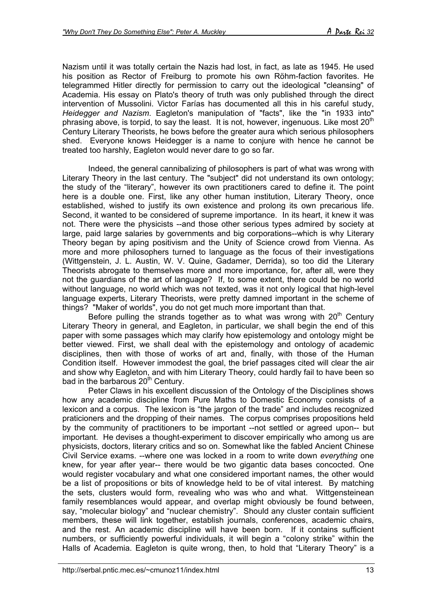Nazism until it was totally certain the Nazis had lost, in fact, as late as 1945. He used his position as Rector of Freiburg to promote his own Röhm-faction favorites. He telegrammed Hitler directly for permission to carry out the ideological "cleansing" of Academia. His essay on Plato's theory of truth was only published through the direct intervention of Mussolini. Victor Farías has documented all this in his careful study, *Heidegger and Nazism*. Eagleton's manipulation of "facts", like the "in 1933 into" phrasing above, is torpid, to say the least. It is not, however, ingenuous. Like most  $20<sup>th</sup>$ Century Literary Theorists, he bows before the greater aura which serious philosophers shed. Everyone knows Heidegger is a name to conjure with hence he cannot be treated too harshly, Eagleton would never dare to go so far.

Indeed, the general cannibalizing of philosophers is part of what was wrong with Literary Theory in the last century. The "subject" did not understand its own ontology; the study of the "literary", however its own practitioners cared to define it. The point here is a double one. First, like any other human institution, Literary Theory, once established, wished to justify its own existence and prolong its own precarious life. Second, it wanted to be considered of supreme importance. In its heart, it knew it was not. There were the physicists --and those other serious types admired by society at large, paid large salaries by governments and big corporations--which is why Literary Theory began by aping positivism and the Unity of Science crowd from Vienna. As more and more philosophers turned to language as the focus of their investigations (Wittgenstein, J. L. Austin, W. V. Quine, Gadamer, Derrida), so too did the Literary Theorists abrogate to themselves more and more importance, for, after all, were they not the guardians of the art of language? If, to some extent, there could be no world without language, no world which was not texted, was it not only logical that high-level language experts, Literary Theorists, were pretty damned important in the scheme of things? "Maker of worlds", you do not get much more important than that.

Before pulling the strands together as to what was wrong with  $20<sup>th</sup>$  Century Literary Theory in general, and Eagleton, in particular, we shall begin the end of this paper with some passages which may clarify how epistemology and ontology might be better viewed. First, we shall deal with the epistemology and ontology of academic disciplines, then with those of works of art and, finally, with those of the Human Condition itself. However immodest the goal, the brief passages cited will clear the air and show why Eagleton, and with him Literary Theory, could hardly fail to have been so bad in the barbarous 20<sup>th</sup> Century.

Peter Claws in his excellent discussion of the Ontology of the Disciplines shows how any academic discipline from Pure Maths to Domestic Economy consists of a lexicon and a corpus. The lexicon is "the jargon of the trade" and includes recognized praticioners and the dropping of their names. The corpus comprises propositions held by the community of practitioners to be important --not settled or agreed upon-- but important. He devises a thought-experiment to discover empirically who among us are physicists, doctors, literary critics and so on. Somewhat like the fabled Ancient Chinese Civil Service exams. --where one was locked in a room to write down *everything* one knew, for year after year-- there would be two gigantic data bases concocted. One would register vocabulary and what one considered important names, the other would be a list of propositions or bits of knowledge held to be of vital interest. By matching the sets, clusters would form, revealing who was who and what. Wittgensteinean family resemblances would appear, and overlap might obviously be found between, say, "molecular biology" and "nuclear chemistry". Should any cluster contain sufficient members, these will link together, establish journals, conferences, academic chairs, and the rest. An academic discipline will have been born. If it contains sufficient numbers, or sufficiently powerful individuals, it will begin a "colony strike" within the Halls of Academia. Eagleton is quite wrong, then, to hold that "Literary Theory" is a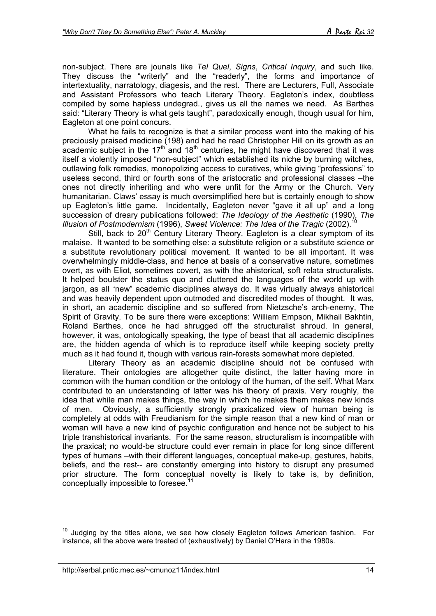non-subject. There are jounals like *Tel Quel*, *Signs*, *Critical Inquiry*, and such like. They discuss the "writerly" and the "readerly", the forms and importance of intertextuality, narratology, diagesis, and the rest. There are Lecturers, Full, Associate and Assistant Professors who teach Literary Theory. Eagleton's index, doubtless compiled by some hapless undegrad., gives us all the names we need. As Barthes said: "Literary Theory is what gets taught", paradoxically enough, though usual for him, Eagleton at one point concurs.

What he fails to recognize is that a similar process went into the making of his preciously praised medicine (198) and had he read Christopher Hill on its growth as an academic subject in the 17<sup>th</sup> and 18<sup>th</sup> centuries, he might have discovered that it was itself a violently imposed "non-subject" which established its niche by burning witches, outlawing folk remedies, monopolizing access to curatives, while giving "professions" to useless second, third or fourth sons of the aristocratic and professional classes –the ones not directly inheriting and who were unfit for the Army or the Church. Very humanitarian. Claws' essay is much oversimplified here but is certainly enough to show up Eagleton's little game. Incidentally, Eagleton never "gave it all up" and a long succession of dreary publications followed: *The Ideology of the Aesthetic* (1990), *The Illusion of Postmodernism* (1996), *Sweet Violence: The Idea of the Tragic* (2002).<sup>1</sup>

Still, back to  $20<sup>th</sup>$  Century Literary Theory. Eagleton is a clear symptom of its malaise. It wanted to be something else: a substitute religion or a substitute science or a substitute revolutionary political movement. It wanted to be all important. It was overwhelmingly middle-class, and hence at basis of a conservative nature, sometimes overt, as with Eliot, sometimes covert, as with the ahistorical, soft relata structuralists. It helped boulster the status quo and cluttered the languages of the world up with jargon, as all "new" academic disciplines always do. It was virtually always ahistorical and was heavily dependent upon outmoded and discredited modes of thought. It was, in short, an academic discipline and so suffered from Nietzsche's arch-enemy, The Spirit of Gravity. To be sure there were exceptions: William Empson, Mikhail Bakhtin, Roland Barthes, once he had shrugged off the structuralist shroud. In general, however, it was, ontologically speaking, the type of beast that all academic disciplines are, the hidden agenda of which is to reproduce itself while keeping society pretty much as it had found it, though with various rain-forests somewhat more depleted.

Literary Theory as an academic discipline should not be confused with literature. Their ontologies are altogether quite distinct, the latter having more in common with the human condition or the ontology of the human, of the self. What Marx contributed to an understanding of latter was his theory of praxis. Very roughly, the idea that while man makes things, the way in which he makes them makes new kinds of men. Obviously, a sufficiently strongly praxicalized view of human being is completely at odds with Freudianism for the simple reason that a new kind of man or woman will have a new kind of psychic configuration and hence not be subject to his triple transhistorical invariants. For the same reason, structuralism is incompatible with the praxical; no would-be structure could ever remain in place for long since different types of humans –with their different languages, conceptual make-up, gestures, habits, beliefs, and the rest-- are constantly emerging into history to disrupt any presumed prior structure. The form conceptual novelty is likely to take is, by definition, conceptually impossible to foresee.<sup>11</sup>

 $10$  Judging by the titles alone, we see how closely Eagleton follows American fashion. For instance, all the above were treated of (exhaustively) by Daniel O'Hara in the 1980s.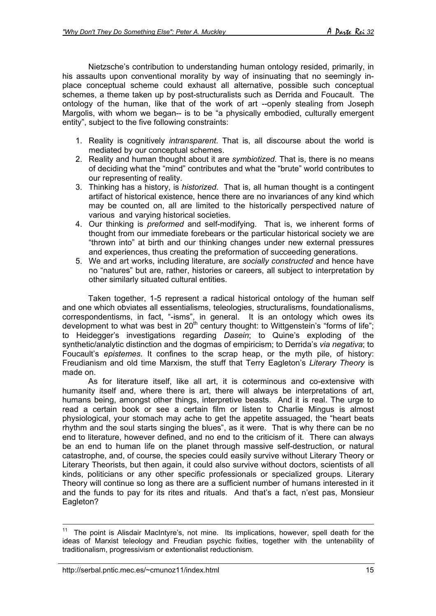Nietzsche's contribution to understanding human ontology resided, primarily, in his assaults upon conventional morality by way of insinuating that no seemingly inplace conceptual scheme could exhaust all alternative, possible such conceptual schemes, a theme taken up by post-structuralists such as Derrida and Foucault. The ontology of the human, like that of the work of art --openly stealing from Joseph Margolis, with whom we began-- is to be "a physically embodied, culturally emergent entity", subject to the five following constraints:

- 1. Reality is cognitively *intransparent*. That is, all discourse about the world is mediated by our conceptual schemes.
- 2. Reality and human thought about it are *symbiotized*. That is, there is no means of deciding what the "mind" contributes and what the "brute" world contributes to our representing of reality.
- 3. Thinking has a history, is *historized*. That is, all human thought is a contingent artifact of historical existence, hence there are no invariances of any kind which may be counted on, all are limited to the historically perspectived nature of various and varying historical societies.
- 4. Our thinking is *preformed* and self-modifying. That is, we inherent forms of thought from our immediate forebears or the particular historical society we are "thrown into" at birth and our thinking changes under new external pressures and experiences, thus creating the preformation of succeeding generations.
- 5. We and art works, including literature, are *socially constructed* and hence have no "natures" but are, rather, histories or careers, all subject to interpretation by other similarly situated cultural entities.

Taken together, 1-5 represent a radical historical ontology of the human self and one which obviates all essentialisms, teleologies, structuralisms, foundationalisms, correspondentisms, in fact, "-isms", in general. It is an ontology which owes its development to what was best in  $20<sup>th</sup>$  century thought: to Wittgenstein's "forms of life"; to Heidegger's investigations regarding *Dasein*; to Quine's exploding of the synthetic/analytic distinction and the dogmas of empiricism; to Derrida's *via negativa*; to Foucault's *epistemes*. It confines to the scrap heap, or the myth pile, of history: Freudianism and old time Marxism, the stuff that Terry Eagleton's *Literary Theory* is made on.

As for literature itself, like all art, it is coterminous and co-extensive with humanity itself and, where there is art, there will always be interpretations of art, humans being, amongst other things, interpretive beasts. And it is real. The urge to read a certain book or see a certain film or listen to Charlie Mingus is almost physiological, your stomach may ache to get the appetite assuaged, the "heart beats rhythm and the soul starts singing the blues", as it were. That is why there can be no end to literature, however defined, and no end to the criticism of it. There can always be an end to human life on the planet through massive self-destruction, or natural catastrophe, and, of course, the species could easily survive without Literary Theory or Literary Theorists, but then again, it could also survive without doctors, scientists of all kinds, politicians or any other specific professionals or specialized groups. Literary Theory will continue so long as there are a sufficient number of humans interested in it and the funds to pay for its rites and rituals. And that's a fact, n'est pas, Monsieur Eagleton?

11 The point is Alisdair MacIntyre's, not mine. Its implications, however, spell death for the ideas of Marxist teleology and Freudian psychic fixities, together with the untenability of traditionalism, progressivism or extentionalist reductionism.